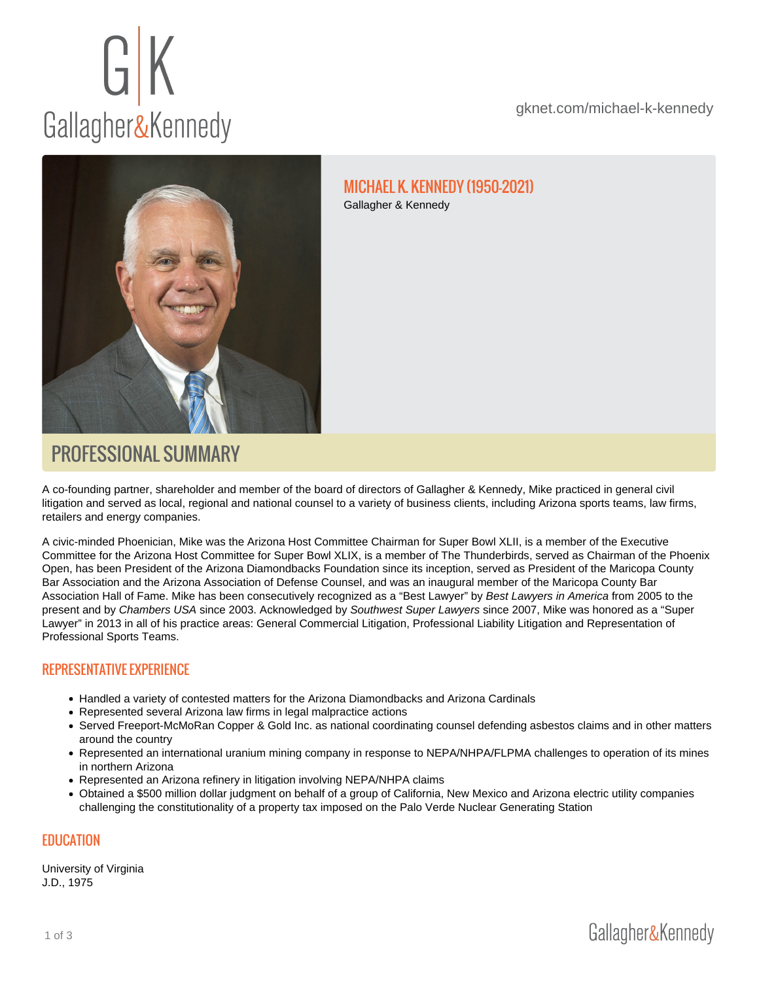#### MICHAEL K. KENNEDY (1950-2021) Gallagher & Kennedy

# PROFESSIONAL SUMMARY

A co-founding partner, shareholder and member of the board of directors of Gallagher & Kennedy, Mike practiced in general civil litigation and served as local, regional and national counsel to a variety of business clients, including Arizona sports teams, law firms, retailers and energy companies.

A civic-minded Phoenician, Mike was the Arizona Host Committee Chairman for Super Bowl XLII, is a member of the Executive Committee for the Arizona Host Committee for Super Bowl XLIX, is a member of The Thunderbirds, served as Chairman of the Phoenix Open, has been President of the Arizona Diamondbacks Foundation since its inception, served as President of the Maricopa County Bar Association and the Arizona Association of Defense Counsel, and was an inaugural member of the Maricopa County Bar Association Hall of Fame. Mike has been consecutively recognized as a "Best Lawyer" by Best Lawyers in America from 2005 to the present and by Chambers USA since 2003. Acknowledged by Southwest Super Lawyers since 2007, Mike was honored as a "Super Lawyer" in 2013 in all of his practice areas: General Commercial Litigation, Professional Liability Litigation and Representation of Professional Sports Teams.

# REPRESENTATIVE EXPERIENCE

- Handled a variety of contested matters for the Arizona Diamondbacks and Arizona Cardinals
- Represented several Arizona law firms in legal malpractice actions
- Served Freeport-McMoRan Copper & Gold Inc. as national coordinating counsel defending asbestos claims and in other matters around the country
- Represented an international uranium mining company in response to NEPA/NHPA/FLPMA challenges to operation of its mines in northern Arizona
- Represented an Arizona refinery in litigation involving NEPA/NHPA claims
- Obtained a \$500 million dollar judgment on behalf of a group of California, New Mexico and Arizona electric utility companies challenging the constitutionality of a property tax imposed on the Palo Verde Nuclear Generating Station

#### EDUCATION

University of Virginia J.D., 1975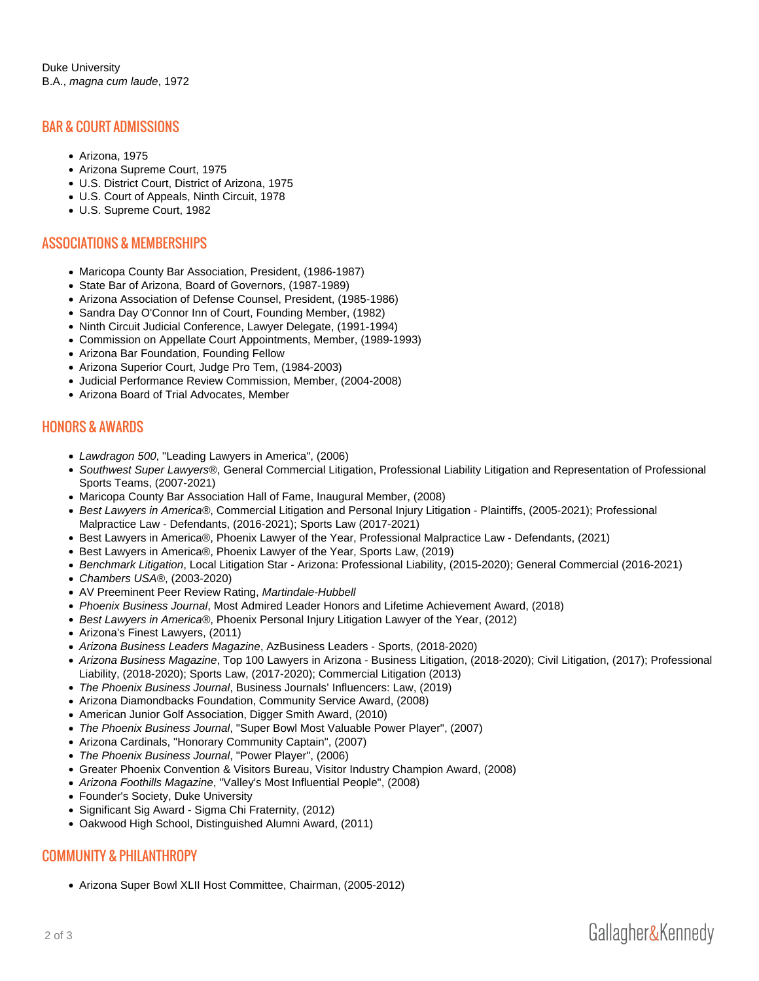#### BAR & COURT ADMISSIONS

- Arizona, 1975
- Arizona Supreme Court, 1975
- U.S. District Court, District of Arizona, 1975
- U.S. Court of Appeals, Ninth Circuit, 1978
- U.S. Supreme Court, 1982

### ASSOCIATIONS & MEMBERSHIPS

- Maricopa County Bar Association, President, (1986-1987)
- State Bar of Arizona, Board of Governors, (1987-1989)
- Arizona Association of Defense Counsel, President, (1985-1986)
- Sandra Day O'Connor Inn of Court, Founding Member, (1982)
- Ninth Circuit Judicial Conference, Lawyer Delegate, (1991-1994)
- Commission on Appellate Court Appointments, Member, (1989-1993)
- Arizona Bar Foundation, Founding Fellow
- Arizona Superior Court, Judge Pro Tem, (1984-2003)
- Judicial Performance Review Commission, Member, (2004-2008)
- Arizona Board of Trial Advocates, Member

## HONORS & AWARDS

- Lawdragon 500, "Leading Lawyers in America", (2006)
- Southwest Super Lawyers®, General Commercial Litigation, Professional Liability Litigation and Representation of Professional Sports Teams, (2007-2021)
- Maricopa County Bar Association Hall of Fame, Inaugural Member, (2008)
- Best Lawyers in America®, Commercial Litigation and Personal Injury Litigation Plaintiffs, (2005-2021); Professional Malpractice Law - Defendants, (2016-2021); Sports Law (2017-2021)
- Best Lawyers in America®, Phoenix Lawyer of the Year, Professional Malpractice Law Defendants, (2021)
- Best Lawyers in America®, Phoenix Lawyer of the Year, Sports Law, (2019)
- Benchmark Litigation, Local Litigation Star Arizona: Professional Liability, (2015-2020); General Commercial (2016-2021)
- Chambers USA®, (2003-2020)
- AV Preeminent Peer Review Rating, Martindale-Hubbell
- Phoenix Business Journal, Most Admired Leader Honors and Lifetime Achievement Award, (2018)
- Best Lawyers in America®, Phoenix Personal Injury Litigation Lawyer of the Year, (2012)
- Arizona's Finest Lawyers, (2011)
- Arizona Business Leaders Magazine, AzBusiness Leaders Sports, (2018-2020)
- Arizona Business Magazine, Top 100 Lawyers in Arizona Business Litigation, (2018-2020); Civil Litigation, (2017); Professional Liability, (2018-2020); Sports Law, (2017-2020); Commercial Litigation (2013)
- The Phoenix Business Journal, Business Journals' Influencers: Law, (2019)
- Arizona Diamondbacks Foundation, Community Service Award, (2008)
- American Junior Golf Association, Digger Smith Award, (2010)
- The Phoenix Business Journal, "Super Bowl Most Valuable Power Player", (2007)
- Arizona Cardinals, "Honorary Community Captain", (2007)
- The Phoenix Business Journal, "Power Player", (2006)
- Greater Phoenix Convention & Visitors Bureau, Visitor Industry Champion Award, (2008)
- Arizona Foothills Magazine, "Valley's Most Influential People", (2008)
- Founder's Society, Duke University
- Significant Sig Award Sigma Chi Fraternity, (2012)
- Oakwood High School, Distinguished Alumni Award, (2011)

# COMMUNITY & PHILANTHROPY

Arizona Super Bowl XLII Host Committee, Chairman, (2005-2012)